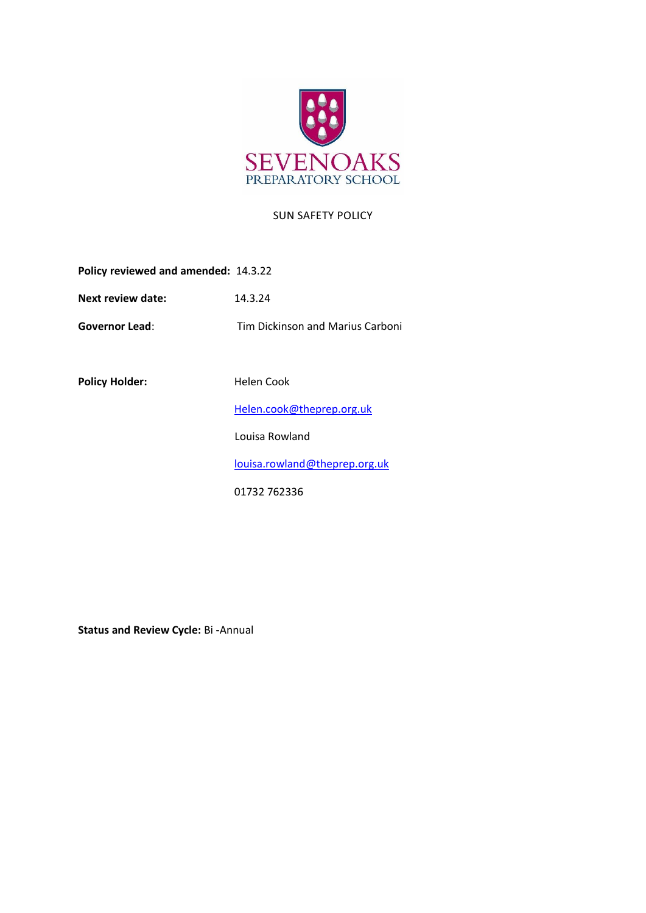

## SUN SAFETY POLICY

**Policy reviewed and amended:** 14.3.22

**Next review date:** 14.3.24

**Governor Lead**: Tim Dickinson and Marius Carboni

Policy Holder: **Helen Cook** 

[Helen.cook@theprep.org.uk](mailto:Helen.cook@theprep.org.uk)

Louisa Rowland

[louisa.rowland@theprep.org.uk](mailto:Samantha.hayward@theprep.org.uk)

01732 762336

**Status and Review Cycle:** Bi **-**Annual